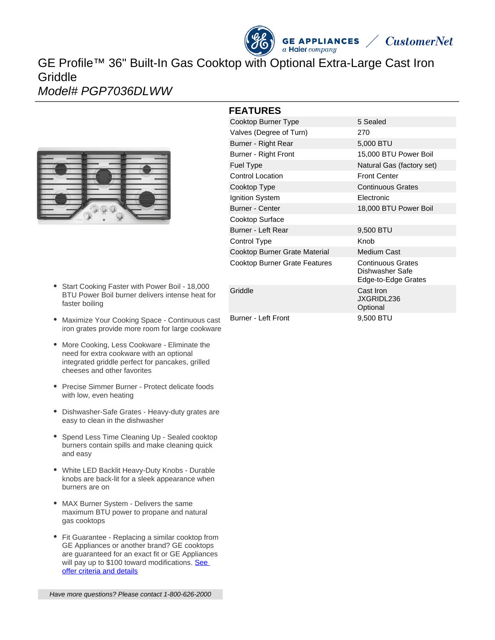# **GE APPLIANCES**  $a$  Haier company GE Profile™ 36" Built-In Gas Cooktop with Optional Extra-Large Cast Iron **Griddle** Model# PGP7036DLWW



- Start Cooking Faster with Power Boil 18,000 BTU Power Boil burner delivers intense heat for faster boiling
- Maximize Your Cooking Space Continuous cast iron grates provide more room for large cookware
- More Cooking, Less Cookware Eliminate the need for extra cookware with an optional integrated griddle perfect for pancakes, grilled cheeses and other favorites
- Precise Simmer Burner Protect delicate foods with low, even heating
- Dishwasher-Safe Grates Heavy-duty grates are easy to clean in the dishwasher
- Spend Less Time Cleaning Up Sealed cooktop burners contain spills and make cleaning quick and easy
- White LED Backlit Heavy-Duty Knobs Durable knobs are back-lit for a sleek appearance when burners are on
- MAX Burner System Delivers the same maximum BTU power to propane and natural gas cooktops
- Fit Guarantee Replacing a similar cooktop from GE Appliances or another brand? GE cooktops are guaranteed for an exact fit or GE Appliances will pay up to \$100 toward modifications. See [offer criteria and details](http://www.geappliances.com/ge/cooktops/built_in_cooktop_rebate.pdf)

## **FEATURES**

| י בהיטונים                    |                                                                    |
|-------------------------------|--------------------------------------------------------------------|
| Cooktop Burner Type           | 5 Sealed                                                           |
| Valves (Degree of Turn)       | 270                                                                |
| Burner - Right Rear           | 5,000 BTU                                                          |
| Burner - Right Front          | 15,000 BTU Power Boil                                              |
| <b>Fuel Type</b>              | Natural Gas (factory set)                                          |
| <b>Control Location</b>       | <b>Front Center</b>                                                |
| Cooktop Type                  | <b>Continuous Grates</b>                                           |
| Ignition System               | Electronic                                                         |
| <b>Burner - Center</b>        | 18,000 BTU Power Boil                                              |
| Cooktop Surface               |                                                                    |
| Burner - Left Rear            | 9,500 BTU                                                          |
| Control Type                  | Knob                                                               |
| Cooktop Burner Grate Material | <b>Medium Cast</b>                                                 |
| Cooktop Burner Grate Features | <b>Continuous Grates</b><br>Dishwasher Safe<br>Edge-to-Edge Grates |
| Griddle                       | Cast Iron<br>JXGRIDL236<br>Optional                                |
| Burner - Left Front           | 9,500 BTU                                                          |

**CustomerNet**